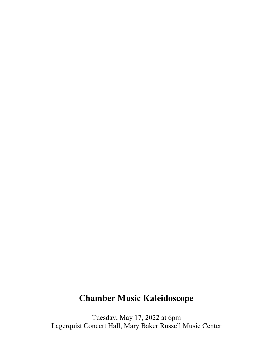# **Chamber Music Kaleidoscope**

Tuesday, May 17, 2022 at 6pm Lagerquist Concert Hall, Mary Baker Russell Music Center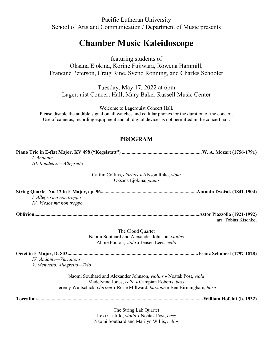Pacific Lutheran University School of Arts and Communication / Department of Music presents

## **Chamber Music Kaleidoscope**

featuring students of

Oksana Ejokina, Korine Fujiwara, Rowena Hammill, Francine Peterson, Craig Rine, Svend Rønning, and Charles Schooler

Tuesday, May 17, 2022 at 6pm Lagerquist Concert Hall, Mary Baker Russell Music Center

Welcome to Lagerquist Concert Hall.

Please disable the audible signal on all watches and cellular phones for the duration of the concert. Use of cameras, recording equipment and all digital devices is not permitted in the concert hall.

## **PROGRAM**

**Piano Trio in E-flat Major, KV 498 ("Kegelstatt") .................................................................W. A. Mozart (1756-1791)** *I. Andante III. Rondeaux—Allegretto*

> Caitlin Collins, *clarinet* ● Alyson Rake, *viola* Oksana Ejokina, *piano*

**String Quartet No. 12 in F Major, op. 96..............................................................................Antonín Dvořák (1841-1904)** *I. Allegro ma non troppo IV. Vivace ma non troppo*

**Oblivion......................................................................................................................................Astor Piazzolla (1921-1992)**

arr. Tobias Kischkel

The Cloud Quartet Naomi Southard and Alexander Johnson, *violins* Abbie Foulon, *viola* ● Jensen Lees, *cello*

#### **Octet in F Major, D. 803..........................................................................................................Franz Schubert (1797-1828)**

*IV. Andante—Variations V. Menuetto. Allegretto—Trio* 

> Naomi Southard and Alexander Johnson, *violins* ● Noatak Post, *viola* Madelynne Jones, *cello* ● Campian Roberts, *bass* Jeremy Wuitschick, *clarinet* ● Rorie Millward, *bassoon* ● Ben Birmingham, *horn*

**Toccatina.......................................................................................................................................William Hofeldt (b. 1932)**

The String Lab Quartet Lexi Castillo, *violin* ● Noatak Post, *bass* Naomi Southard and Marilyn Willis, *cellos*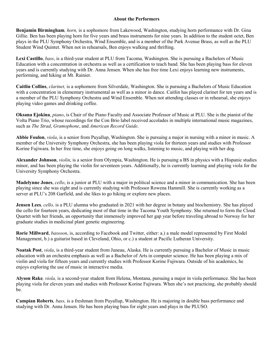### **About the Performers**

**Benjamin Birmingham***, horn,* is a sophomore from Lakewood, Washington, studying horn performance with Dr. Gina Gillie. Ben has been playing horn for five years and brass instruments for nine years. In addition to the student octet, Ben plays in the PLU Symphony Orchestra, Wind Ensemble, and is a member of the Park Avenue Brass, as well as the PLU Student Wind Quintet. When not in rehearsals, Ben enjoys walking and thrifting.

**Lexi Castillo**, *bass*, is a third-year student at PLU from Tacoma, Washington. She is pursuing a Bachelors of Music Education with a concentration in orchestra as well as a certification to teach band. She has been playing bass for eleven years and is currently studying with Dr. Anna Jensen. When she has free time Lexi enjoys learning new instruments, performing, and hiking at Mt. Rainier.

**Caitlin Collins**, *clarinet,* is a sophomore from Silverdale, Washington. She is pursuing a Bachelors of Music Education with a concentration in elementary instrumental as well as a minor in dance. Caitlin has played clarinet for ten years and is a member of the PLU Symphony Orchestra and Wind Ensemble. When not attending classes or in rehearsal, she enjoys playing video games and drinking coffee.

**Oksana Ejokina**, *piano*, is Chair of the Piano Faculty and Associate Professor of Music at PLU. She is the pianist of the Volta Piano Trio, whose recordings for the Con Brio label received accolades in multiple international music magazines, such as *The Strad*, *Gramophone*, and *American Record Guide*.

**Abbie Foulon**, *viola*, is a senior from Puyallup, Washington. She is pursuing a major in nursing with a minor in music. A member of the University Symphony Orchestra, she has been playing viola for thirteen years and studies with Professor Korine Fujiwara. In her free time, she enjoys going on long walks, listening to music, and playing with her dog.

**Alexander Johnson**, *violin*, is a senior from Olympia, Washington. He is pursuing a BS in physics with a Hispanic studies minor, and has been playing the violin for seventeen years. Additionally, he is currently learning and playing viola for the University Symphony Orchestra.

**Madelynne Jones**, *cello*, is a junior at PLU with a major in political science and a minor in communication. She has been playing since she was eight and is currently studying with Professor Rowena Hammill. She is currently working as a server at PLU's 208 Garfield, and she likes to go hiking or explore new places.

**Jensen Lees***, cello,* is a PLU alumna who graduated in 2021 with her degree in botany and biochemistry. She has played the cello for fourteen years, dedicating most of that time in the Tacoma Youth Symphony. She returned to form the Cloud Quartet with her friends, an opportunity that immensely improved her gap year before traveling abroad to Norway for her graduate studies in medicinal plant genetic engineering.

**Rorie Millward**, *bassoon*, is, according to Facebook and Twitter, either: a.) a male model represented by First Model Management, b.) a guitarist based in Cleveland, Ohio, or c.) a student at Pacific Lutheran University.

**Noatak Post**, *viola*, is a third-year student from Juneau, Alaska. He is currently pursuing a Bachelor of Music in music education with an orchestra emphasis as well as a Bachelor of Arts in computer science. He has been playing a mix of violin and viola for fifteen years and currently studies with Professor Korine Fujiwara. Outside of his academics, he enjoys exploring the use of music in interactive media.

**Alyson Rake***, viola,* is a second-year student from Helena, Montana, pursuing a major in viola performance. She has been playing viola for eleven years and studies with Professor Korine Fujiwara. When she's not practicing, she probably should be.

**Campian Roberts***, bass,* is a freshman from Puyallup, Washington. He is majoring in double bass performance and studying with Dr. Anna Jensen. He has been playing bass for eight years and plays in the PLUSO.